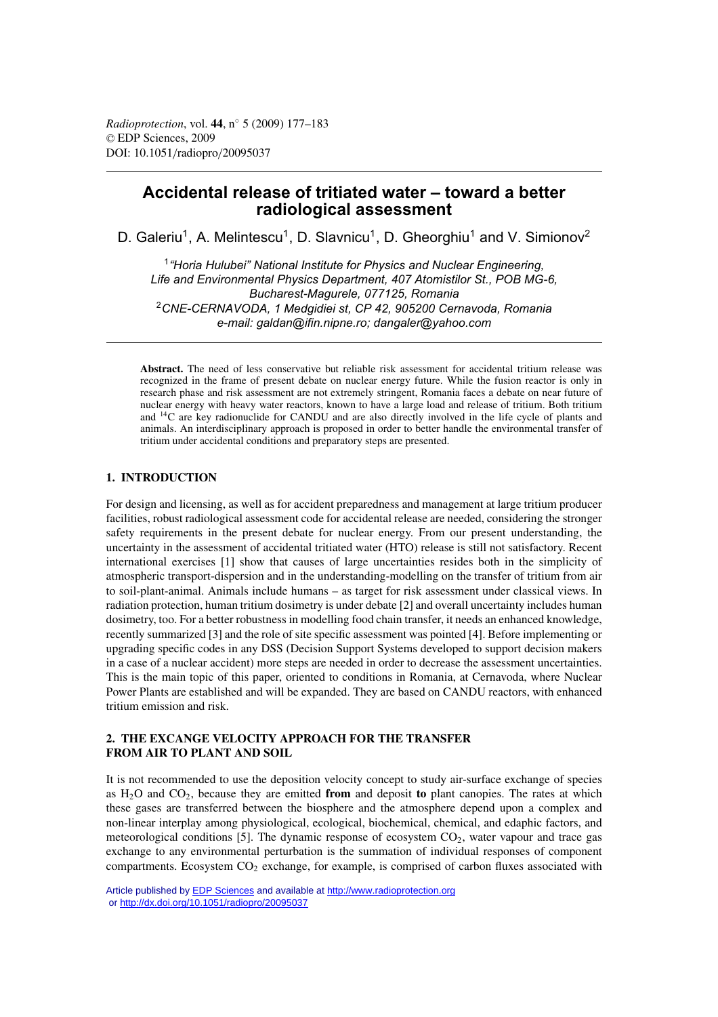# **Accidental release of tritiated water – toward a better radiological assessment**

D. Galeriu<sup>1</sup>, A. Melintescu<sup>1</sup>, D. Slavnicu<sup>1</sup>, D. Gheorghiu<sup>1</sup> and V. Simionov<sup>2</sup>

<sup>1</sup>*"Horia Hulubei" National Institute for Physics and Nuclear Engineering, Life and Environmental Physics Department, 407 Atomistilor St., POB MG-6, Bucharest-Magurele, 077125, Romania* <sup>2</sup>*CNE-CERNAVODA, 1 Medgidiei st, CP 42, 905200 Cernavoda, Romania e-mail: galdan@ifin.nipne.ro; dangaler@yahoo.com*

Abstract. The need of less conservative but reliable risk assessment for accidental tritium release was recognized in the frame of present debate on nuclear energy future. While the fusion reactor is only in research phase and risk assessment are not extremely stringent, Romania faces a debate on near future of nuclear energy with heavy water reactors, known to have a large load and release of tritium. Both tritium and 14C are key radionuclide for CANDU and are also directly involved in the life cycle of plants and animals. An interdisciplinary approach is proposed in order to better handle the environmental transfer of tritium under accidental conditions and preparatory steps are presented.

# **1. INTRODUCTION**

For design and licensing, as well as for accident preparedness and management at large tritium producer facilities, robust radiological assessment code for accidental release are needed, considering the stronger safety requirements in the present debate for nuclear energy. From our present understanding, the uncertainty in the assessment of accidental tritiated water (HTO) release is still not satisfactory. Recent international exercises [1] show that causes of large uncertainties resides both in the simplicity of atmospheric transport-dispersion and in the understanding-modelling on the transfer of tritium from air to soil-plant-animal. Animals include humans – as target for risk assessment under classical views. In radiation protection, human tritium dosimetry is under debate [2] and overall uncertainty includes human dosimetry, too. For a better robustness in modelling food chain transfer, it needs an enhanced knowledge, recently summarized [3] and the role of site specific assessment was pointed [4]. Before implementing or upgrading specific codes in any DSS (Decision Support Systems developed to support decision makers in a case of a nuclear accident) more steps are needed in order to decrease the assessment uncertainties. This is the main topic of this paper, oriented to conditions in Romania, at Cernavoda, where Nuclear Power Plants are established and will be expanded. They are based on CANDU reactors, with enhanced tritium emission and risk.

# **2. THE EXCANGE VELOCITY APPROACH FOR THE TRANSFER FROM AIR TO PLANT AND SOIL**

It is not recommended to use the deposition velocity concept to study air-surface exchange of species as H2O and CO2, because they are emitted **from** and deposit **to** plant canopies. The rates at which these gases are transferred between the biosphere and the atmosphere depend upon a complex and non-linear interplay among physiological, ecological, biochemical, chemical, and edaphic factors, and meteorological conditions [5]. The dynamic response of ecosystem  $CO<sub>2</sub>$ , water vapour and trace gas exchange to any environmental perturbation is the summation of individual responses of component compartments. Ecosystem CO<sub>2</sub> exchange, for example, is comprised of carbon fluxes associated with

Article published by [EDP Sciences](http://www.edpsciences.org) and available at<http://www.radioprotection.org> or <http://dx.doi.org/10.1051/radiopro/20095037>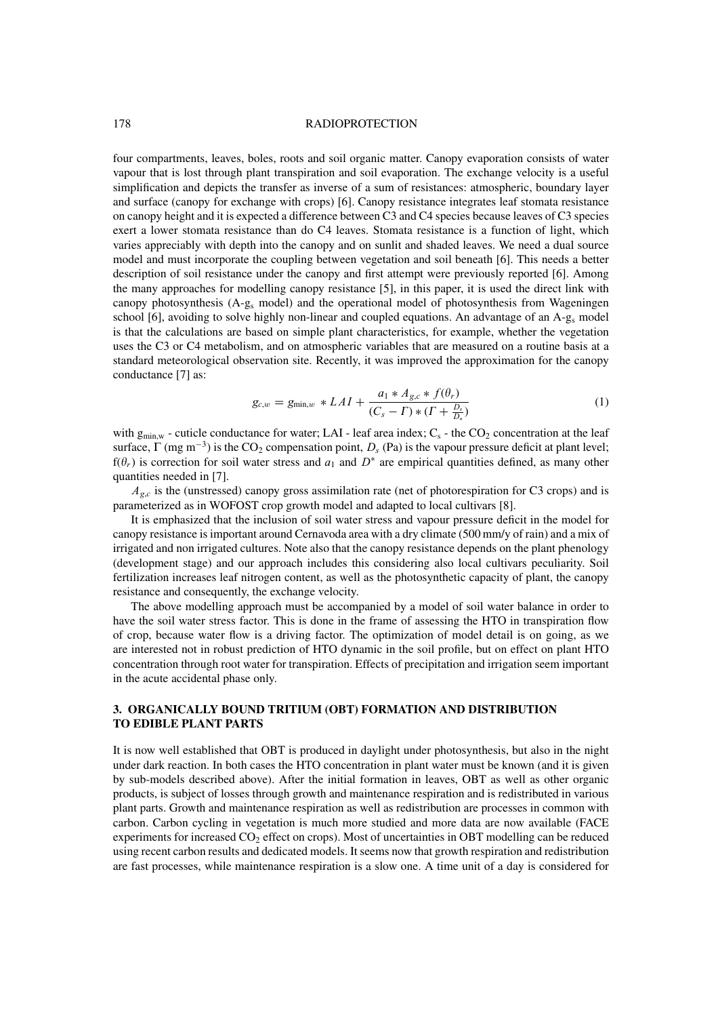### 178 RADIOPROTECTION

four compartments, leaves, boles, roots and soil organic matter. Canopy evaporation consists of water vapour that is lost through plant transpiration and soil evaporation. The exchange velocity is a useful simplification and depicts the transfer as inverse of a sum of resistances: atmospheric, boundary layer and surface (canopy for exchange with crops) [6]. Canopy resistance integrates leaf stomata resistance on canopy height and it is expected a difference between C3 and C4 species because leaves of C3 species exert a lower stomata resistance than do C4 leaves. Stomata resistance is a function of light, which varies appreciably with depth into the canopy and on sunlit and shaded leaves. We need a dual source model and must incorporate the coupling between vegetation and soil beneath [6]. This needs a better description of soil resistance under the canopy and first attempt were previously reported [6]. Among the many approaches for modelling canopy resistance [5], in this paper, it is used the direct link with canopy photosynthesis (A-gs model) and the operational model of photosynthesis from Wageningen school [6], avoiding to solve highly non-linear and coupled equations. An advantage of an A-gs model is that the calculations are based on simple plant characteristics, for example, whether the vegetation uses the C3 or C4 metabolism, and on atmospheric variables that are measured on a routine basis at a standard meteorological observation site. Recently, it was improved the approximation for the canopy conductance [7] as:

$$
g_{c,w} = g_{\min,w} * LAI + \frac{a_1 * A_{g,c} * f(\theta_r)}{(C_s - \Gamma) * (\Gamma + \frac{D_s}{D_*})}
$$
(1)

with  $g_{min,w}$  - cuticle conductance for water; LAI - leaf area index;  $C_s$  - the CO<sub>2</sub> concentration at the leaf surface,  $\Gamma$  (mg m<sup>-3</sup>) is the CO<sub>2</sub> compensation point,  $D_s$  (Pa) is the vapour pressure deficit at plant level; f( $\theta_r$ ) is correction for soil water stress and  $a_1$  and  $D^*$  are empirical quantities defined, as many other quantities needed in [7].

 $A_{g,c}$  is the (unstressed) canopy gross assimilation rate (net of photorespiration for C3 crops) and is parameterized as in WOFOST crop growth model and adapted to local cultivars [8].

It is emphasized that the inclusion of soil water stress and vapour pressure deficit in the model for canopy resistance is important around Cernavoda area with a dry climate (500 mm/y of rain) and a mix of irrigated and non irrigated cultures. Note also that the canopy resistance depends on the plant phenology (development stage) and our approach includes this considering also local cultivars peculiarity. Soil fertilization increases leaf nitrogen content, as well as the photosynthetic capacity of plant, the canopy resistance and consequently, the exchange velocity.

The above modelling approach must be accompanied by a model of soil water balance in order to have the soil water stress factor. This is done in the frame of assessing the HTO in transpiration flow of crop, because water flow is a driving factor. The optimization of model detail is on going, as we are interested not in robust prediction of HTO dynamic in the soil profile, but on effect on plant HTO concentration through root water for transpiration. Effects of precipitation and irrigation seem important in the acute accidental phase only.

# **3. ORGANICALLY BOUND TRITIUM (OBT) FORMATION AND DISTRIBUTION TO EDIBLE PLANT PARTS**

It is now well established that OBT is produced in daylight under photosynthesis, but also in the night under dark reaction. In both cases the HTO concentration in plant water must be known (and it is given by sub-models described above). After the initial formation in leaves, OBT as well as other organic products, is subject of losses through growth and maintenance respiration and is redistributed in various plant parts. Growth and maintenance respiration as well as redistribution are processes in common with carbon. Carbon cycling in vegetation is much more studied and more data are now available (FACE experiments for increased CO<sub>2</sub> effect on crops). Most of uncertainties in OBT modelling can be reduced using recent carbon results and dedicated models. It seems now that growth respiration and redistribution are fast processes, while maintenance respiration is a slow one. A time unit of a day is considered for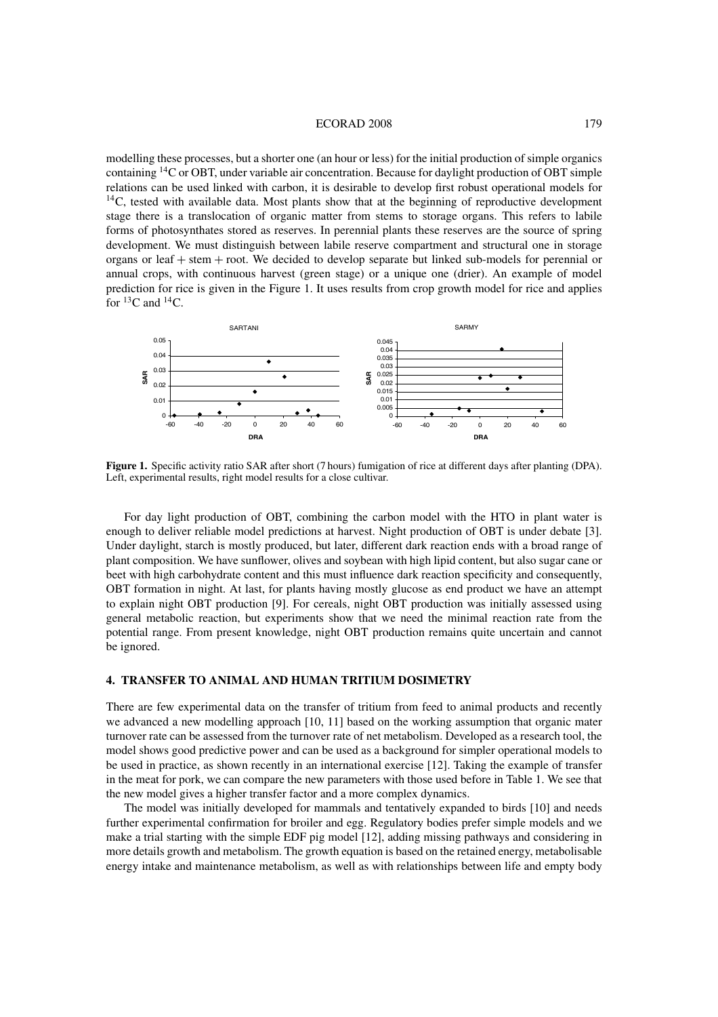### ECORAD 2008 179

modelling these processes, but a shorter one (an hour or less) for the initial production of simple organics containing 14C or OBT, under variable air concentration. Because for daylight production of OBT simple relations can be used linked with carbon, it is desirable to develop first robust operational models for <sup>14</sup>C, tested with available data. Most plants show that at the beginning of reproductive development stage there is a translocation of organic matter from stems to storage organs. This refers to labile forms of photosynthates stored as reserves. In perennial plants these reserves are the source of spring development. We must distinguish between labile reserve compartment and structural one in storage organs or leaf + stem + root. We decided to develop separate but linked sub-models for perennial or annual crops, with continuous harvest (green stage) or a unique one (drier). An example of model prediction for rice is given in the Figure 1. It uses results from crop growth model for rice and applies for  ${}^{13}C$  and  ${}^{14}C$ .



**Figure 1.** Specific activity ratio SAR after short (7 hours) fumigation of rice at different days after planting (DPA). Left, experimental results, right model results for a close cultivar.

For day light production of OBT, combining the carbon model with the HTO in plant water is enough to deliver reliable model predictions at harvest. Night production of OBT is under debate [3]. Under daylight, starch is mostly produced, but later, different dark reaction ends with a broad range of plant composition. We have sunflower, olives and soybean with high lipid content, but also sugar cane or beet with high carbohydrate content and this must influence dark reaction specificity and consequently, OBT formation in night. At last, for plants having mostly glucose as end product we have an attempt to explain night OBT production [9]. For cereals, night OBT production was initially assessed using general metabolic reaction, but experiments show that we need the minimal reaction rate from the potential range. From present knowledge, night OBT production remains quite uncertain and cannot be ignored.

# **4. TRANSFER TO ANIMAL AND HUMAN TRITIUM DOSIMETRY**

There are few experimental data on the transfer of tritium from feed to animal products and recently we advanced a new modelling approach [10, 11] based on the working assumption that organic mater turnover rate can be assessed from the turnover rate of net metabolism. Developed as a research tool, the model shows good predictive power and can be used as a background for simpler operational models to be used in practice, as shown recently in an international exercise [12]. Taking the example of transfer in the meat for pork, we can compare the new parameters with those used before in Table 1. We see that the new model gives a higher transfer factor and a more complex dynamics.

The model was initially developed for mammals and tentatively expanded to birds [10] and needs further experimental confirmation for broiler and egg. Regulatory bodies prefer simple models and we make a trial starting with the simple EDF pig model [12], adding missing pathways and considering in more details growth and metabolism. The growth equation is based on the retained energy, metabolisable energy intake and maintenance metabolism, as well as with relationships between life and empty body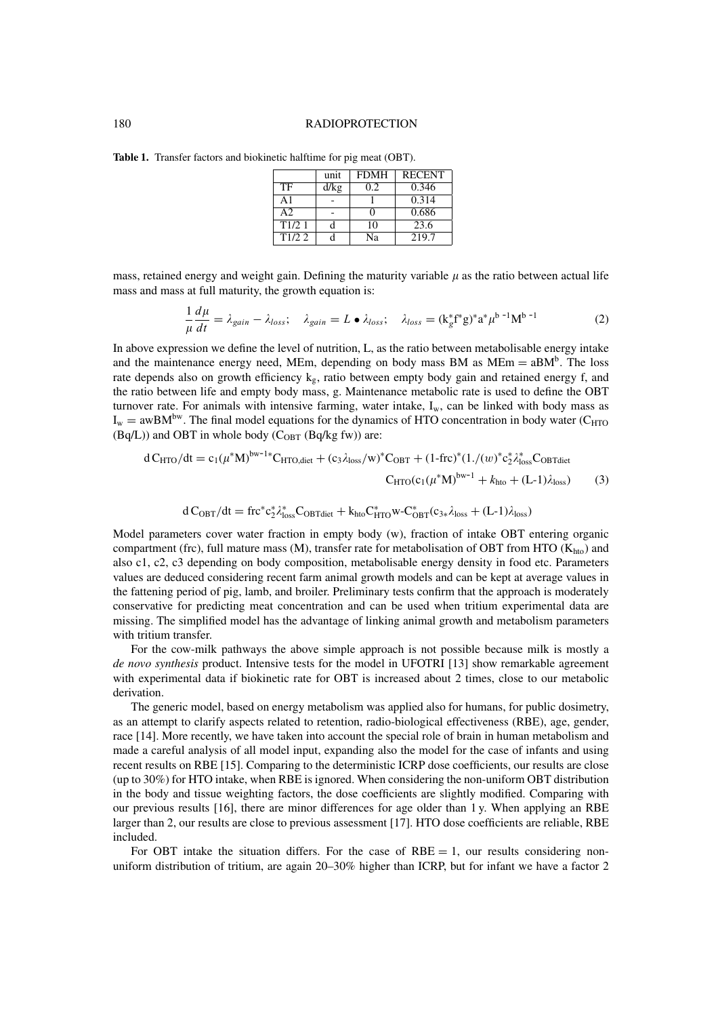### 180 RADIOPROTECTION

|  | Table 1. Transfer factors and biokinetic halftime for pig meat (OBT). |  |  |  |  |  |  |  |  |  |  |  |
|--|-----------------------------------------------------------------------|--|--|--|--|--|--|--|--|--|--|--|
|--|-----------------------------------------------------------------------|--|--|--|--|--|--|--|--|--|--|--|

|                    | unit | <b>FDMH</b> | <b>RECENT</b> |
|--------------------|------|-------------|---------------|
| TF                 | d/kg | 0.2         | 0.346         |
| A1                 |      |             | 0.314         |
| A2                 |      |             | 0.686         |
| $\overline{T1/2}1$ |      | 10          | 23.6          |
| T1/2.2             |      | Nа          | 219.7         |

mass, retained energy and weight gain. Defining the maturity variable  $\mu$  as the ratio between actual life mass and mass at full maturity, the growth equation is:

$$
\frac{1}{\mu}\frac{d\mu}{dt} = \lambda_{gain} - \lambda_{loss}; \quad \lambda_{gain} = L \bullet \lambda_{loss}; \quad \lambda_{loss} = (\mathbf{k}_g^* \mathbf{f}^* \mathbf{g})^* \mathbf{a}^* \mu^{\mathbf{b} - 1} \mathbf{M}^{\mathbf{b} - 1}
$$
 (2)

In above expression we define the level of nutrition, L, as the ratio between metabolisable energy intake and the maintenance energy need, MEm, depending on body mass BM as  $MEm = aBM^b$ . The loss rate depends also on growth efficiency  $k<sub>g</sub>$ , ratio between empty body gain and retained energy f, and the ratio between life and empty body mass, g. Maintenance metabolic rate is used to define the OBT turnover rate. For animals with intensive farming, water intake,  $I_w$ , can be linked with body mass as  $I_w = awBM^{bw}$ . The final model equations for the dynamics of HTO concentration in body water (C<sub>HTO</sub>)  $(Bq/L)$ ) and OBT in whole body  $(C<sub>OBT</sub> (Bq/kg fw))$  are:

$$
d C_{HTO}/dt = c_1(\mu^* M)^{bw-1*} C_{HTO,diet} + (c_3 \lambda_{loss}/w)^* C_{OBT} + (1-frc)^* (1./(w)^* c_2^* \lambda_{loss}^* C_{OBTdiet}
$$
  

$$
C_{HTO}(c_1(\mu^* M)^{bw-1} + k_{hto} + (L-1)\lambda_{loss})
$$
 (3)

$$
d C_{\rm OBT}/dt = \text{frc}^* c_2^* \lambda_{\rm loss}^* C_{\rm OBTdist} + k_{\rm hto} C_{\rm HTO}^* w \cdot C_{\rm OBT}^* (c_{3*} \lambda_{\rm loss} + (L-1) \lambda_{\rm loss})
$$

Model parameters cover water fraction in empty body (w), fraction of intake OBT entering organic compartment (frc), full mature mass (M), transfer rate for metabolisation of OBT from HTO ( $K_{\text{hto}}$ ) and also c1, c2, c3 depending on body composition, metabolisable energy density in food etc. Parameters values are deduced considering recent farm animal growth models and can be kept at average values in the fattening period of pig, lamb, and broiler. Preliminary tests confirm that the approach is moderately conservative for predicting meat concentration and can be used when tritium experimental data are missing. The simplified model has the advantage of linking animal growth and metabolism parameters with tritium transfer.

For the cow-milk pathways the above simple approach is not possible because milk is mostly a *de novo synthesis* product. Intensive tests for the model in UFOTRI [13] show remarkable agreement with experimental data if biokinetic rate for OBT is increased about 2 times, close to our metabolic derivation.

The generic model, based on energy metabolism was applied also for humans, for public dosimetry, as an attempt to clarify aspects related to retention, radio-biological effectiveness (RBE), age, gender, race [14]. More recently, we have taken into account the special role of brain in human metabolism and made a careful analysis of all model input, expanding also the model for the case of infants and using recent results on RBE [15]. Comparing to the deterministic ICRP dose coefficients, our results are close (up to 30%) for HTO intake, when RBE is ignored. When considering the non-uniform OBT distribution in the body and tissue weighting factors, the dose coefficients are slightly modified. Comparing with our previous results [16], there are minor differences for age older than 1 y. When applying an RBE larger than 2, our results are close to previous assessment [17]. HTO dose coefficients are reliable, RBE included.

For OBT intake the situation differs. For the case of  $RBE = 1$ , our results considering nonuniform distribution of tritium, are again 20–30% higher than ICRP, but for infant we have a factor 2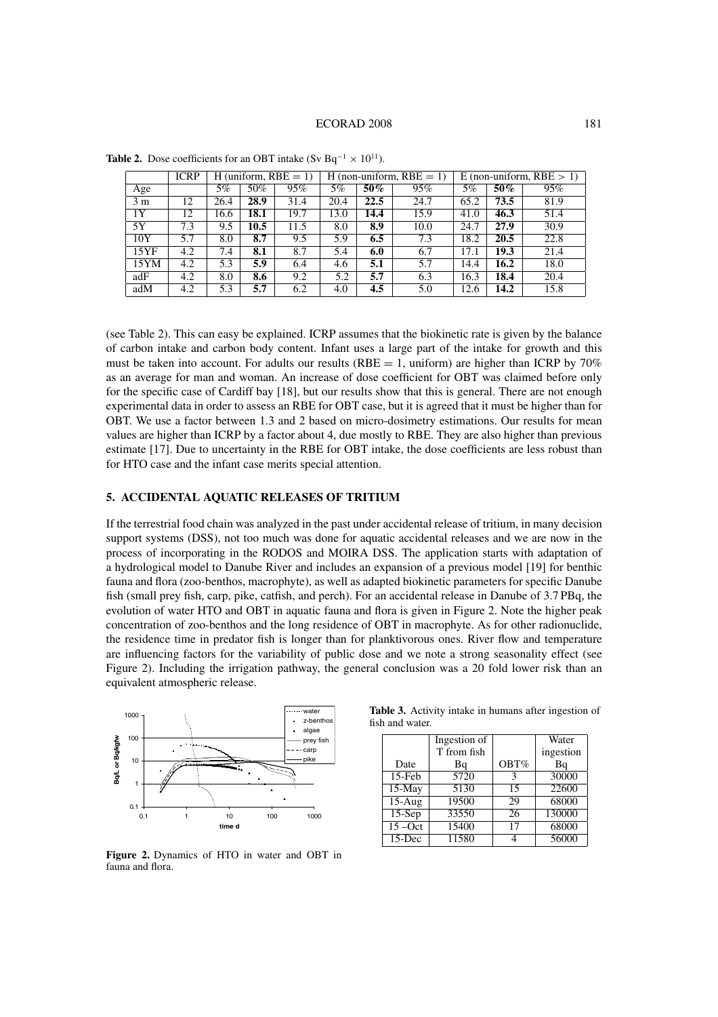#### ECORAD 2008 181

|                | <b>ICRP</b> |       |      | H (uniform, $RBE = 1$ ) | H (non-uniform, $RBE = 1$ ) |      |      | E (non-uniform, $RBE > 1$ ) |      |      |  |
|----------------|-------------|-------|------|-------------------------|-----------------------------|------|------|-----------------------------|------|------|--|
| Age            |             | $5\%$ | 50%  | 95%                     | 5%                          | 50%  | 95%  | $5\%$                       | 50%  | 95%  |  |
| 3 <sub>m</sub> | 12          | 26.4  | 28.9 | 31.4                    | 20.4                        | 22.5 | 24.7 | 65.2                        | 73.5 | 81.9 |  |
| 1Y             | 12          | 16.6  | 18.1 | 19.7                    | 13.0                        | 14.4 | 15.9 | 41.0                        | 46.3 | 51.4 |  |
| 5Y             | 7.3         | 9.5   | 10.5 | 11.5                    | 8.0                         | 8.9  | 10.0 | 24.7                        | 27.9 | 30.9 |  |
| 10Y            | 5.7         | 8.0   | 8.7  | 9.5                     | 5.9                         | 6.5  | 7.3  | 18.2                        | 20.5 | 22.8 |  |
| 15YF           | 4.2         | 7.4   | 8.1  | 8.7                     | 5.4                         | 6.0  | 6.7  | 17.1                        | 19.3 | 21.4 |  |
| 15YM           | 4.2         | 5.3   | 5.9  | 6.4                     | 4.6                         | 5.1  | 5.7  | 14.4                        | 16.2 | 18.0 |  |
| adF            | 4.2         | 8.0   | 8.6  | 9.2                     | 5.2                         | 5.7  | 6.3  | 16.3                        | 18.4 | 20.4 |  |
| adM            | 4.2         | 5.3   | 5.7  | 6.2                     | 4.0                         | 4.5  | 5.0  | 12.6                        | 14.2 | 15.8 |  |

**Table 2.** Dose coefficients for an OBT intake (Sv Bq<sup>-1</sup>  $\times$  10<sup>11</sup>).

(see Table 2). This can easy be explained. ICRP assumes that the biokinetic rate is given by the balance of carbon intake and carbon body content. Infant uses a large part of the intake for growth and this must be taken into account. For adults our results (RBE  $= 1$ , uniform) are higher than ICRP by 70% as an average for man and woman. An increase of dose coefficient for OBT was claimed before only for the specific case of Cardiff bay [18], but our results show that this is general. There are not enough experimental data in order to assess an RBE for OBT case, but it is agreed that it must be higher than for OBT. We use a factor between 1.3 and 2 based on micro-dosimetry estimations. Our results for mean values are higher than ICRP by a factor about 4, due mostly to RBE. They are also higher than previous estimate [17]. Due to uncertainty in the RBE for OBT intake, the dose coefficients are less robust than for HTO case and the infant case merits special attention.

# **5. ACCIDENTAL AQUATIC RELEASES OF TRITIUM**

If the terrestrial food chain was analyzed in the past under accidental release of tritium, in many decision support systems (DSS), not too much was done for aquatic accidental releases and we are now in the process of incorporating in the RODOS and MOIRA DSS. The application starts with adaptation of a hydrological model to Danube River and includes an expansion of a previous model [19] for benthic fauna and flora (zoo-benthos, macrophyte), as well as adapted biokinetic parameters for specific Danube fish (small prey fish, carp, pike, catfish, and perch). For an accidental release in Danube of 3.7 PBq, the evolution of water HTO and OBT in aquatic fauna and flora is given in Figure 2. Note the higher peak concentration of zoo-benthos and the long residence of OBT in macrophyte. As for other radionuclide, the residence time in predator fish is longer than for planktivorous ones. River flow and temperature are influencing factors for the variability of public dose and we note a strong seasonality effect (see Figure 2). Including the irrigation pathway, the general conclusion was a 20 fold lower risk than an equivalent atmospheric release.



**Figure 2.** Dynamics of HTO in water and OBT in fauna and flora.

**Table 3.** Activity intake in humans after ingestion of fish and water.

|            | Ingestion of |      | Water     |
|------------|--------------|------|-----------|
|            | T from fish  |      | ingestion |
| Date       | Bq           | OBT% | Bq        |
| 15-Feb     | 5720         | 3    | 30000     |
| $15-May$   | 5130         | 15   | 22600     |
| $15-Aug$   | 19500        | 29   | 68000     |
| $15-Sep$   | 33550        | 26   | 130000    |
| $15 - Oct$ | 15400        | 17   | 68000     |
| $15$ -Dec  | 11580        |      | 56000     |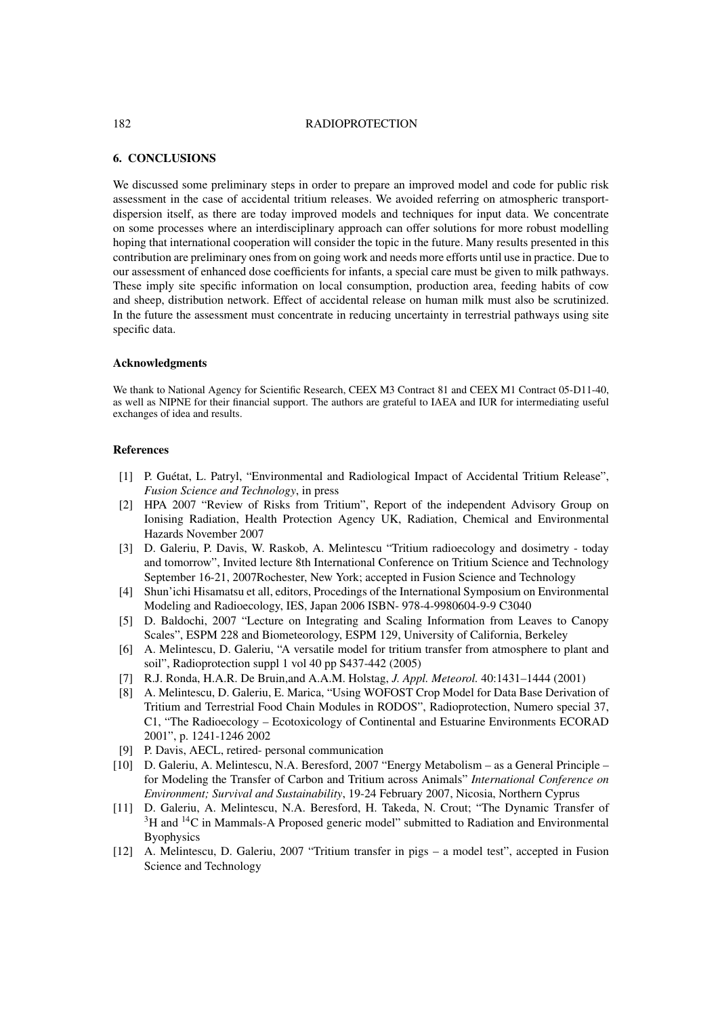### 182 RADIOPROTECTION

## **6. CONCLUSIONS**

We discussed some preliminary steps in order to prepare an improved model and code for public risk assessment in the case of accidental tritium releases. We avoided referring on atmospheric transportdispersion itself, as there are today improved models and techniques for input data. We concentrate on some processes where an interdisciplinary approach can offer solutions for more robust modelling hoping that international cooperation will consider the topic in the future. Many results presented in this contribution are preliminary ones from on going work and needs more efforts until use in practice. Due to our assessment of enhanced dose coefficients for infants, a special care must be given to milk pathways. These imply site specific information on local consumption, production area, feeding habits of cow and sheep, distribution network. Effect of accidental release on human milk must also be scrutinized. In the future the assessment must concentrate in reducing uncertainty in terrestrial pathways using site specific data.

# **Acknowledgments**

We thank to National Agency for Scientific Research, CEEX M3 Contract 81 and CEEX M1 Contract 05-D11-40, as well as NIPNE for their financial support. The authors are grateful to IAEA and IUR for intermediating useful exchanges of idea and results.

### **References**

- [1] P. Guétat, L. Patryl, "Environmental and Radiological Impact of Accidental Tritium Release", *Fusion Science and Technology*, in press
- [2] HPA 2007 "Review of Risks from Tritium", Report of the independent Advisory Group on Ionising Radiation, Health Protection Agency UK, Radiation, Chemical and Environmental Hazards November 2007
- [3] D. Galeriu, P. Davis, W. Raskob, A. Melintescu "Tritium radioecology and dosimetry today and tomorrow", Invited lecture 8th International Conference on Tritium Science and Technology September 16-21, 2007Rochester, New York; accepted in Fusion Science and Technology
- [4] Shun'ichi Hisamatsu et all, editors, Procedings of the International Symposium on Environmental Modeling and Radioecology, IES, Japan 2006 ISBN- 978-4-9980604-9-9 C3040
- [5] D. Baldochi, 2007 "Lecture on Integrating and Scaling Information from Leaves to Canopy Scales", ESPM 228 and Biometeorology, ESPM 129, University of California, Berkeley
- [6] A. Melintescu, D. Galeriu, "A versatile model for tritium transfer from atmosphere to plant and soil", Radioprotection suppl 1 vol 40 pp S437-442 (2005)
- [7] R.J. Ronda, H.A.R. De Bruin,and A.A.M. Holstag, *J. Appl. Meteorol.* 40:1431–1444 (2001)
- [8] A. Melintescu, D. Galeriu, E. Marica, "Using WOFOST Crop Model for Data Base Derivation of Tritium and Terrestrial Food Chain Modules in RODOS", Radioprotection, Numero special 37, C1, "The Radioecology – Ecotoxicology of Continental and Estuarine Environments ECORAD 2001", p. 1241-1246 2002
- [9] P. Davis, AECL, retired- personal communication
- [10] D. Galeriu, A. Melintescu, N.A. Beresford, 2007 "Energy Metabolism as a General Principle for Modeling the Transfer of Carbon and Tritium across Animals" *International Conference on Environment; Survival and Sustainability*, 19-24 February 2007, Nicosia, Northern Cyprus
- [11] D. Galeriu, A. Melintescu, N.A. Beresford, H. Takeda, N. Crout; "The Dynamic Transfer of  $3H$  and  $14C$  in Mammals-A Proposed generic model" submitted to Radiation and Environmental Byophysics
- [12] A. Melintescu, D. Galeriu, 2007 "Tritium transfer in pigs a model test", accepted in Fusion Science and Technology